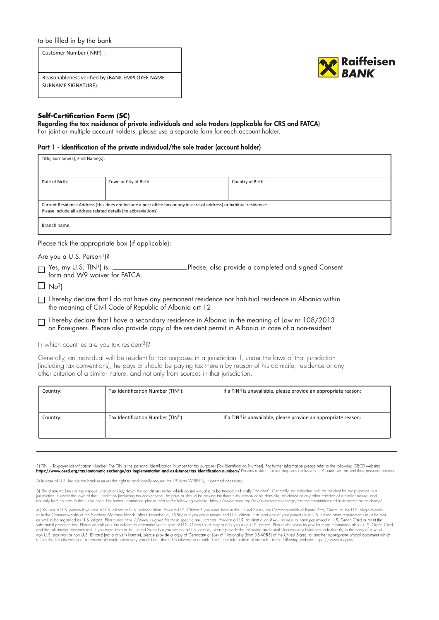# to be filled in by the bank

Customer Number ( NRP) : Reasonableness verified by (BANK EMPLOYEE NAME SURNAME SIGNATURE):



## **Self-Certification Form (SC)**

# Regarding the tax residence of private individuals and sole traders (applicable for CRS and FATCA)

For joint or multiple account holders, please use a separate form for each account holder.

#### Part 1 - Identification of the private individual/the sole trader (account holder)

| Title, Surname(s), First Name(s):                                                                                                                                                     |                        |                   |  |  |
|---------------------------------------------------------------------------------------------------------------------------------------------------------------------------------------|------------------------|-------------------|--|--|
|                                                                                                                                                                                       |                        |                   |  |  |
| Date of Birth:                                                                                                                                                                        | Town or City of Birth: | Country of Birth: |  |  |
|                                                                                                                                                                                       |                        |                   |  |  |
| Current Residence Address (this does not include a post office box or any in-care-of address) or habitual residence:<br>Please include all address related details (no abbreviations) |                        |                   |  |  |
| Branch name:                                                                                                                                                                          |                        |                   |  |  |

Please tick the appropriate box (if applicable):

Are you a U.S. Person<sup>1</sup>)?

T Yes, my U.S. TIN<sup>1</sup>) is: \_\_\_\_\_\_\_\_\_\_\_\_\_\_\_\_\_\_\_\_\_\_\_\_\_Please, also provide a completed and signed Consent form and W9 waiver for FATCA.

 $\Box$  No<sup>2</sup>)

I hereby declare that I do not have any permanent residence nor habitual residence in Albania within the meaning of Civil Code of Republic of Albania art 12

I hereby declare that I have a secondary residence in Albania in the meaning of Law nr 108/2013 on Foreigners. Please also provide copy of the resident permit in Albania in case of a non-resident

In which countries are you tax resident<sup>3</sup>)?

Generally, an individual will be resident for tax purposes in a jurisdiction if, under the laws of that jurisdiction (including tax conventions), he pays or should be paying tax therein by reason of his domicile, residence or any other criterion of a similar nature, and not only from sources in that jurisdiction.

| Country: | Tax Identification Number (TIN <sup>1)</sup> ): | If a $TIN1$ is unavailable, please provide an appropriate reason:           |
|----------|-------------------------------------------------|-----------------------------------------------------------------------------|
| Country: | Tax Identification Number (TIN <sup>1)</sup> ): | If a TIN <sup>1</sup> is unavailable, please provide an appropriate reason: |

1) TIN = Taxpayer Identification Number. The TIN is the personal Identification Number for tax purposes (Tax Identification Number). For further information please refer to the following OECD-website: https://www.oed.org/tax/automatic-exchange/crs-implementation-and-assistance/tax-identification-numbers/ Persons resident for tax purposes exclusively in Albania will present their personal number.

2) In case of U.S. Indicia the bank reserves the right to additionally request the IRS form W-8BEN, if deemed necessary.

3) The domestic laws of the various jurisdictions lay down the conditions under which an individual is to be treated as fiscally "resident". Generally, an individual will be resident for tax purposes in a<br>jurisdiction if,

| 4) You are a U.S. person if you are a U.S. citizen or U.S. resident alien. You are U.S. Citizen if you were born in the United States, the Commonwealth of Puerto Rico. Guam, or the U.S. Virgin Islands        |
|-----------------------------------------------------------------------------------------------------------------------------------------------------------------------------------------------------------------|
| or in the Commonwealth of the Northern Mariana Islands (after November 3, 1986) or if you are a naturalized U.S. citizen. If at least one of your parents is a U.S. citizen other requirements must be met      |
| as well to be regarded as U.S. citizen. Please visit https://www.irs.gov/ for these specific requirements. You are a U.S. resident alien if you possess or have possessed a U.S. Green Card or meet the         |
| substantial presence test. Please consult your tax advisor to determine which type of U.S. Green Card may qualify you as a U.S. person. Please visit www.irs.gov for more information about U.S. Green Card     |
| and the substantial presence test. If you were born in the United States but you are not a U.S. person, please provide the following additional Documentary Evidence: additionally to the copy of a valid       |
| non U.S. passport or non U.S. ID card (not a driver's license), please provide a copy of Certificate of Loss of Nationality (form DS-4083) of the United States, or another appropriate official document which |
| refutes the US citizenship or a reasonable explanation why you did not obtain US citizenship at birth. For further information please refer to the following website: https://www.irs.gov/                      |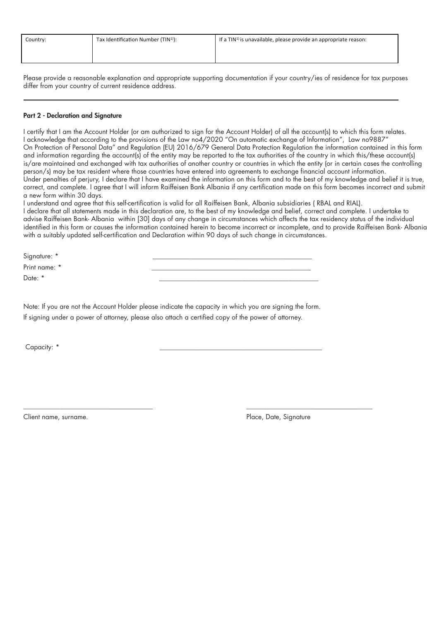| Country: | Tax Identification Number (TIN <sup>1)</sup> ): | If a $TIN1$ is unavailable, please provide an appropriate reason: |
|----------|-------------------------------------------------|-------------------------------------------------------------------|
|          |                                                 |                                                                   |

Please provide a reasonable explanation and appropriate supporting documentation if your country/ies of residence for tax purposes differ from your country of current residence address.

## Part 2 - Declaration and Signature

I certify that I am the Account Holder (or am authorized to sign for the Account Holder) of all the account(s) to which this form relates. I acknowledge that according to the provisions of the Law no4/2020 "On automatic exchange of Information", Law no9887" On Protection of Personal Data" and Regulation (EU) 2016/679 General Data Protection Regulation the information contained in this form and information regarding the account(s) of the entity may be reported to the tax authorities of the country in which this/these account(s) is/are maintained and exchanged with tax authorities of another country or countries in which the entity (or in certain cases the controlling person/s) may be tax resident where those countries have entered into agreements to exchange financial account information. Under penalties of perjury, I declare that I have examined the information on this form and to the best of my knowledge and belief it is true, correct, and complete. I agree that I will inform Raiffeisen Bank Albania if any certification made on this form becomes incorrect and submit a new form within 30 days.

I understand and agree that this self-certification is valid for all Raiffeisen Bank, Albania subsidiaries (RBAL and RIAL). I declare that all statements made in this declaration are, to the best of my knowledge and belief, correct and complete. I undertake to advise Raiffeisen Bank- Albania within [30] days of any change in circumstances which affects the tax residency status of the individual identified in this form or causes the information contained herein to become incorrect or incomplete, and to provide Raiffeisen Bank- Albania with a suitably updated self-certification and Declaration within 90 days of such change in circumstances.

Signature: \* Print name: \* \_\_\_\_\_\_\_\_\_\_\_\_\_\_\_\_\_\_\_\_\_\_\_\_\_\_\_\_\_\_\_\_\_\_\_\_\_\_\_\_\_\_\_\_\_\_\_\_

Note: If you are not the Account Holder please indicate the capacity in which you are signing the form. If signing under a power of attorney, please also attach a certied copy of the power of attorney.

Date: \* \_\_\_\_\_\_\_\_\_\_\_\_\_\_\_\_\_\_\_\_\_\_\_\_\_\_\_\_\_\_\_\_\_\_\_\_\_\_\_\_\_\_\_\_\_\_\_\_

Capacity: \* \_\_\_\_\_\_\_\_\_\_\_\_\_\_\_\_\_\_\_\_\_\_\_\_\_\_\_\_\_\_\_\_\_\_\_\_\_\_\_\_\_\_\_\_\_\_\_\_\_

Client name, surname.

\_\_\_\_\_\_\_\_\_\_\_\_\_\_\_\_\_\_\_\_\_\_\_\_\_\_\_\_\_\_\_\_\_\_\_\_\_\_\_

Place, Date, Signature

\_\_\_\_\_\_\_\_\_\_\_\_\_\_\_\_\_\_\_\_\_\_\_\_\_\_\_\_\_\_\_\_\_\_\_\_\_\_